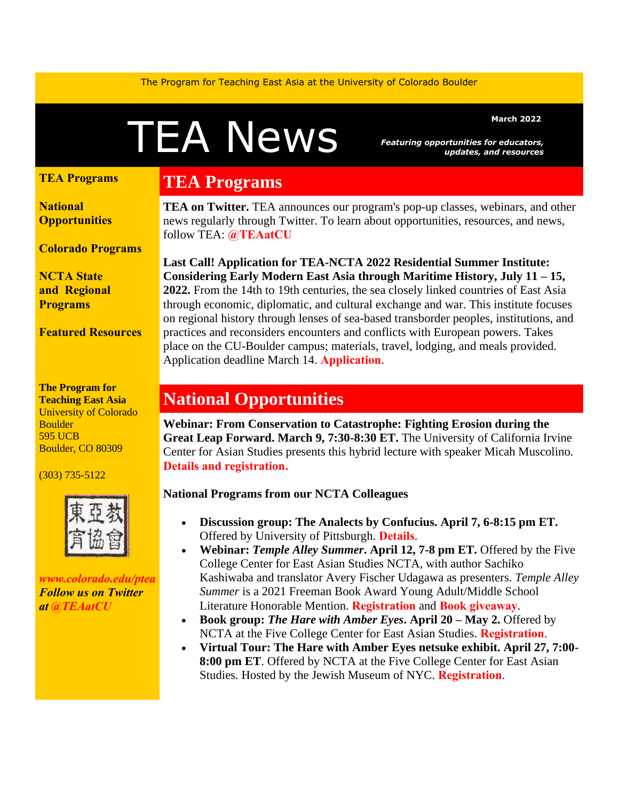The Program for Teaching East Asia at the University of Colorado Boulder

# MEANEWS Featuring opportunities for educators,

*Featuring opportunities for educators, updates, and resources*

#### **[TEA Programs](https://us14.admin.mailchimp.com/campaigns/preview-content-html?id=8985577#TEAprog)**

**[National](https://us14.admin.mailchimp.com/campaigns/preview-content-html?id=8985577#natl)  [Opportunities](https://us14.admin.mailchimp.com/campaigns/preview-content-html?id=8985577#natl)**

**[Colorado Programs](https://us14.admin.mailchimp.com/campaigns/preview-content-html?id=8985577#colo)**

**[NCTA State](https://us14.admin.mailchimp.com/campaigns/preview-content-html?id=8985577#local)  and [Regional](https://us14.admin.mailchimp.com/campaigns/preview-content-html?id=8985577#local)  [Programs](https://us14.admin.mailchimp.com/campaigns/preview-content-html?id=8985577#local)**

**[Featured Resources](https://us14.admin.mailchimp.com/campaigns/preview-content-html?id=8985577#FR)**

**The Program for Teaching East Asia** University of Colorado **Boulder** 595 UCB Boulder, CO 80309

(303) 735-5122



*[www.colorado.edu/ptea](http://www.colorado.edu/cas/tea) Follow us on Twitter at [@TEAatCU](https://twitter.com/TEAatCU)*

## **TEA Programs**

**TEA on Twitter.** TEA announces our program's pop-up classes, webinars, and other news regularly through Twitter. To learn about opportunities, resources, and news, follow TEA: **[@TEAatCU](https://twitter.com/TEAatCU)**

**Last Call! Application for TEA-NCTA 2022 Residential Summer Institute: Considering Early Modern East Asia through Maritime History, July 11 – 15, 2022.** From the 14th to 19th centuries, the sea closely linked countries of East Asia through economic, diplomatic, and cultural exchange and war. This institute focuses on regional history through lenses of sea-based transborder peoples, institutions, and practices and reconsiders encounters and conflicts with European powers. Takes place on the CU-Boulder campus; materials, travel, lodging, and meals provided. Application deadline March 14. **[Application](https://www.colorado.edu/ptea/SI2022application)**.

## **National Opportunities**

**Webinar: From Conservation to Catastrophe: Fighting Erosion during the Great Leap Forward. March 9, 7:30-8:30 ET.** The University of California Irvine Center for Asian Studies presents this hybrid lecture with speaker Micah Muscolino. **[Details and registration.](https://mailchi.mp/f2188ba71976/asia-14166852)**

#### **National Programs from our NCTA Colleagues**

- **Discussion group: The Analects by Confucius. April 7, 6-8:15 pm ET.** Offered by University of Pittsburgh. **[Details](https://www.ucis.pitt.edu/ncta/event-opportunities/teacher-programs)**.
- **Webinar:** *Temple Alley Summer***. April 12, 7-8 pm ET.** Offered by the Five College Center for East Asian Studies NCTA, with author Sachiko Kashiwaba and translator Avery Fischer Udagawa as presenters. *Temple Alley Summer* is a 2021 Freeman Book Award Young Adult/Middle School Literature Honorable Mention. **[Registration](https://us06web.zoom.us/meeting/register/tZ0vdeqqrDgjEtBej3QlfWMdez3lbN_d0AZd)** and **[Book giveaway](https://www.fivecolleges.edu/form/temple-alley-summer-giveaway)**.
- **Book group:** *The Hare with Amber Eyes***. April 20 – May 2.** Offered by NCTA at the Five College Center for East Asian Studies. **[Registration](https://www.fivecolleges.edu/form/hare-with-amber-eyes-book-group)**.
- **Virtual Tour: The Hare with Amber Eyes netsuke exhibit. April 27, 7:00- 8:00 pm ET**. Offered by NCTA at the Five College Center for East Asian Studies. Hosted by the Jewish Museum of NYC. **[Registration](https://us06web.zoom.us/meeting/register/tZ0tc-qurDwjHNZbq8dA55yf0stEhzP4WnNT)**.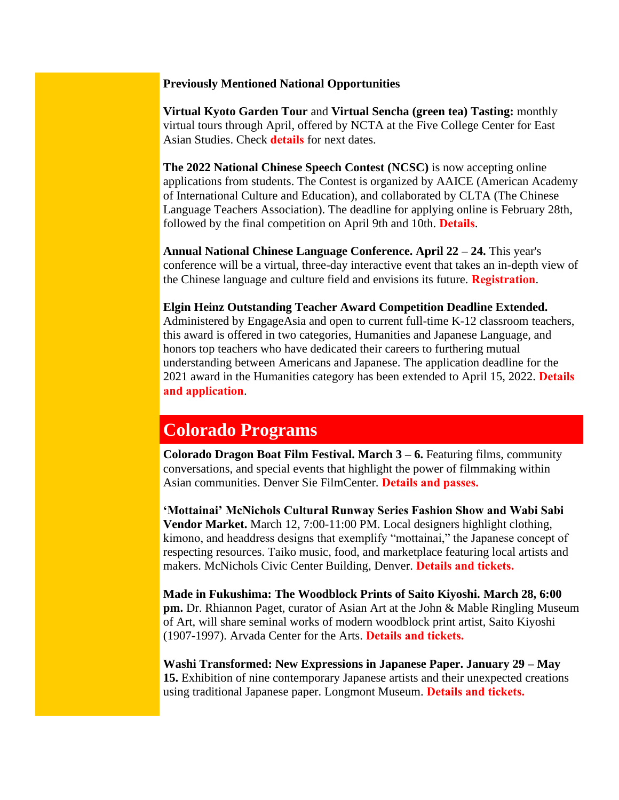#### **Previously Mentioned National Opportunities**

**Virtual Kyoto Garden Tour** and **Virtual Sencha (green tea) Tasting:** monthly virtual tours through April, offered by NCTA at the Five College Center for East Asian Studies. Check **[details](https://www.fivecolleges.edu/fcceas)** for next dates.

**The 2022 National Chinese Speech Contest (NCSC)** is now accepting online applications from students. The Contest is organized by AAICE (American Academy of International Culture and Education), and collaborated by CLTA (The Chinese Language Teachers Association). The deadline for applying online is February 28th, followed by the final competition on April 9th and 10th. **[Details](https://www.aaiceusa.com/2022ncsc)**.

**Annual National Chinese Language Conference. April 22 – 24.** This year's conference will be a virtual, three-day interactive event that takes an in-depth view of the Chinese language and culture field and envisions its future. **[Registration](https://hopin.com/events/nclc2022/registration)**.

#### **Elgin Heinz Outstanding Teacher Award Competition Deadline Extended.**

Administered by EngageAsia and open to current full-time K-12 classroom teachers, this award is offered in two categories, Humanities and Japanese Language, and honors top teachers who have dedicated their careers to furthering mutual understanding between Americans and Japanese. The application deadline for the 2021 award in the Humanities category has been extended to April 15, 2022. **[Details](https://www.elginheinzaward.org/)  [and application](https://www.elginheinzaward.org/)**.

## **Colorado Programs**

**Colorado Dragon Boat Film Festival. March 3 – 6.** Featuring films, community conversations, and special events that highlight the power of filmmaking within Asian communities. Denver Sie FilmCenter. **[Details and passes.](https://coloradodragonboatfilmfestival.eventive.org/welcome)**

**'Mottainai' McNichols Cultural Runway Series Fashion Show and Wabi Sabi Vendor Market.** March 12, 7:00-11:00 PM. Local designers highlight clothing, kimono, and headdress designs that exemplify "mottainai," the Japanese concept of respecting resources. Taiko music, food, and marketplace featuring local artists and makers. McNichols Civic Center Building, Denver. **[Details and tickets.](https://www.axs.com/events/425256/arts-venues-cultural-fashion-runway-series-mottainai-tickets?skin=mcnichols&mc_cid=f1b7c17f98&mc_eid=042c94885b)** 

**Made in Fukushima: The Woodblock Prints of Saito Kiyoshi. March 28, 6:00 pm.** Dr. Rhiannon Paget, curator of Asian Art at the John & Mable Ringling Museum of Art, will share seminal works of modern woodblock print artist, Saito Kiyoshi (1907-1997). Arvada Center for the Arts. **[Details and tickets.](https://www.jascolorado.org/event-calendar#!event/2022/3/28/made-in-fukushima-the-woodblock-prints-of-saito-kiyoshi)**

**Washi Transformed: New Expressions in Japanese Paper. January 29 – May 15.** Exhibition of nine contemporary Japanese artists and their unexpected creations using traditional Japanese paper. Longmont Museum. **[Details and tickets.](https://www.longmontcolorado.gov/departments/departments-e-m/museum/exhibitions/washi-transformed)**